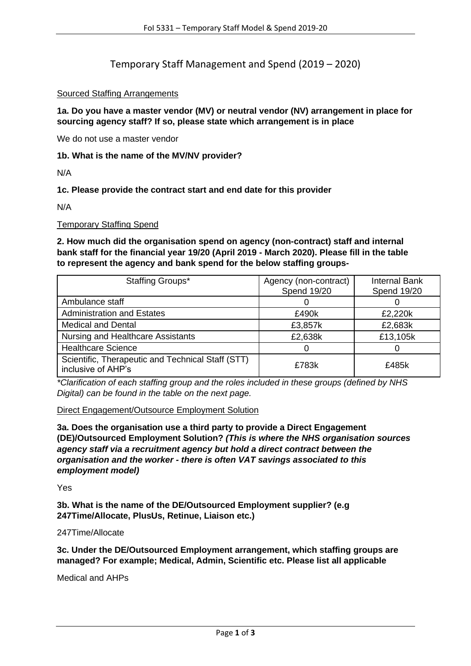Temporary Staff Management and Spend (2019 – 2020)

# Sourced Staffing Arrangements

**1a. Do you have a master vendor (MV) or neutral vendor (NV) arrangement in place for sourcing agency staff? If so, please state which arrangement is in place**

We do not use a master vendor

## **1b. What is the name of the MV/NV provider?**

N/A

# **1c. Please provide the contract start and end date for this provider**

N/A

## Temporary Staffing Spend

# **2. How much did the organisation spend on agency (non-contract) staff and internal bank staff for the financial year 19/20 (April 2019 - March 2020). Please fill in the table to represent the agency and bank spend for the below staffing groups-**

| Staffing Groups*                                                        | Agency (non-contract)<br><b>Spend 19/20</b> | <b>Internal Bank</b><br><b>Spend 19/20</b> |
|-------------------------------------------------------------------------|---------------------------------------------|--------------------------------------------|
| Ambulance staff                                                         |                                             |                                            |
| <b>Administration and Estates</b>                                       | £490k                                       | £2,220k                                    |
| <b>Medical and Dental</b>                                               | £3,857k                                     | £2,683k                                    |
| Nursing and Healthcare Assistants                                       | £2,638k                                     | £13,105k                                   |
| <b>Healthcare Science</b>                                               |                                             |                                            |
| Scientific, Therapeutic and Technical Staff (STT)<br>inclusive of AHP's | £783k                                       | £485k                                      |

*\*Clarification of each staffing group and the roles included in these groups (defined by NHS Digital) can be found in the table on the next page.*

### Direct Engagement/Outsource Employment Solution

**3a. Does the organisation use a third party to provide a Direct Engagement (DE)/Outsourced Employment Solution?** *(This is where the NHS organisation sources agency staff via a recruitment agency but hold a direct contract between the organisation and the worker - there is often VAT savings associated to this employment model)*

Yes

**3b. What is the name of the DE/Outsourced Employment supplier? (e.g 247Time/Allocate, PlusUs, Retinue, Liaison etc.)**

### 247Time/Allocate

**3c. Under the DE/Outsourced Employment arrangement, which staffing groups are managed? For example; Medical, Admin, Scientific etc. Please list all applicable**

Medical and AHPs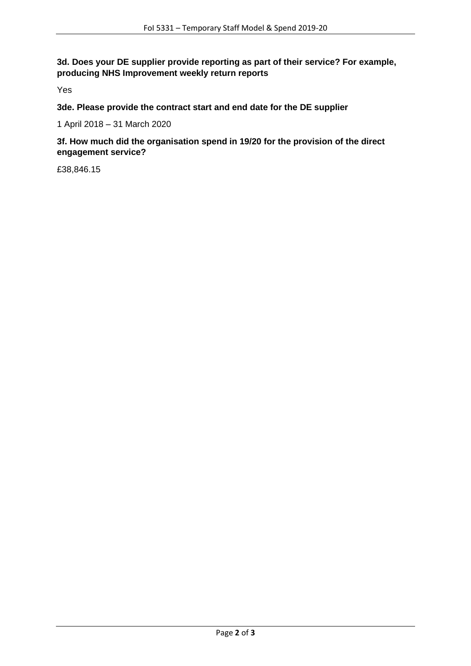**3d. Does your DE supplier provide reporting as part of their service? For example, producing NHS Improvement weekly return reports**

Yes

**3de. Please provide the contract start and end date for the DE supplier**

1 April 2018 – 31 March 2020

**3f. How much did the organisation spend in 19/20 for the provision of the direct engagement service?**

£38,846.15